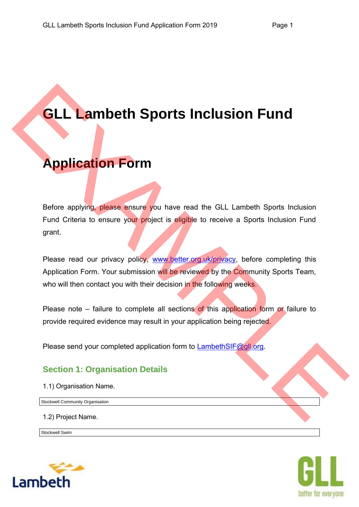# **GLL Lambeth Sports Inclusion Fund**

# **Application Form**

Before applying, please ensure you have read the GLL Lambeth Sports Inclusion Fund Criteria to ensure your project is eligible to receive a Sports Inclusion Fund grant. **GLL Lambeth Sports Inclusion Fund<br>
Application Form**<br>
Before applying please ensure you have read the GLL Lambeth Sports inclusion<br>
Fund Cirieria to ensure your project is englise to receive a Sports Inclusion<br>
grant.<br>
Pl

Please read our privacy policy, www.better.org.uk/privacy, before completing this Application Form. Your submission will be reviewed by the Community Sports Team, who will then contact you with their decision in the following weeks.

Please note – failure to complete all sections of this application form or failure to provide required evidence may result in your application being rejected.

Please send your completed application form to LambethSIF@gll.org.

## **Section 1: Organisation Details**

1.1) Organisation Name.

Stockwell Community Organisation

1.2) Project Name.

Stockwell Swim



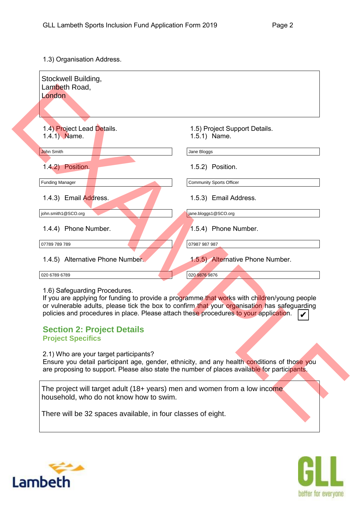1.3) Organisation Address.

| Stockwell Building,<br>Lambeth Road,                                                           |                                                                                                                                                                                                                                                                                       |
|------------------------------------------------------------------------------------------------|---------------------------------------------------------------------------------------------------------------------------------------------------------------------------------------------------------------------------------------------------------------------------------------|
| London                                                                                         |                                                                                                                                                                                                                                                                                       |
|                                                                                                |                                                                                                                                                                                                                                                                                       |
| 1.4) Project Lead Details.<br>1.4.1) Name.                                                     | 1.5) Project Support Details.<br>1.5.1) Name.                                                                                                                                                                                                                                         |
| John Smith                                                                                     | Jane Bloggs                                                                                                                                                                                                                                                                           |
| 1.4.2) Position.                                                                               | 1.5.2) Position.                                                                                                                                                                                                                                                                      |
| <b>Funding Manager</b>                                                                         | <b>Community Sports Officer</b>                                                                                                                                                                                                                                                       |
| 1.4.3) Email Address.                                                                          | 1.5.3) Email Address.                                                                                                                                                                                                                                                                 |
| john.smith1@SCO.org                                                                            | jane.bloggs1@SCO.org                                                                                                                                                                                                                                                                  |
| 1.4.4) Phone Number.                                                                           | 1.5.4) Phone Number.                                                                                                                                                                                                                                                                  |
| 07789 789 789                                                                                  | 07987 987 987                                                                                                                                                                                                                                                                         |
| 1.4.5) Alternative Phone Number                                                                | 1.5.5) Alternative Phone Number.                                                                                                                                                                                                                                                      |
| 020 6789 6789                                                                                  | 020 9876 9876                                                                                                                                                                                                                                                                         |
| 1.6) Safeguarding Procedures.<br><b>Section 2: Project Details</b><br><b>Project Specifics</b> | If you are applying for funding to provide a programme that works with children/young people<br>or vulnerable adults, please tick the box to confirm that your organisation has safeguarding<br>policies and procedures in place. Please attach these procedures to your application. |
| 2.1) Who are your target participants?                                                         | Ensure you detail participant age, gender, ethnicity, and any health conditions of those you<br>are proposing to support. Please also state the number of places available for participants.                                                                                          |
| household, who do not know how to swim.                                                        | The project will target adult (18+ years) men and women from a low income                                                                                                                                                                                                             |
|                                                                                                |                                                                                                                                                                                                                                                                                       |

#### **Section 2: Project Details Project Specifics**



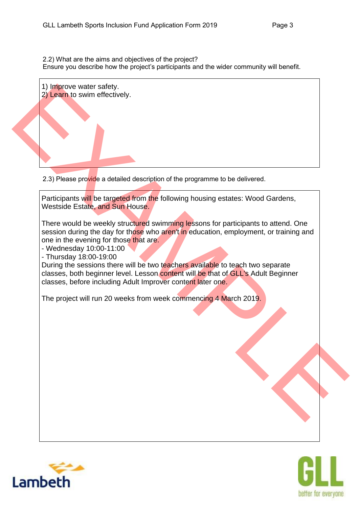2.2) What are the aims and objectives of the project? Ensure you describe how the project's participants and the wider community will benefit.



2.3) Please provide a detailed description of the programme to be delivered.

Participants will be targeted from the following housing estates: Wood Gardens, Westside Estate, and Sun House.

There would be weekly structured swimming lessons for participants to attend. One session during the day for those who aren't in education, employment, or training and one in the evening for those that are.

- Wednesday 10:00-11:00

- Thursday 18:00-19:00

During the sessions there will be two teachers available to teach two separate classes, both beginner level. Lesson content will be that of GLL's Adult Beginner classes, before including Adult Improver content later one.

The project will run 20 weeks from week commencing 4 March 2019.



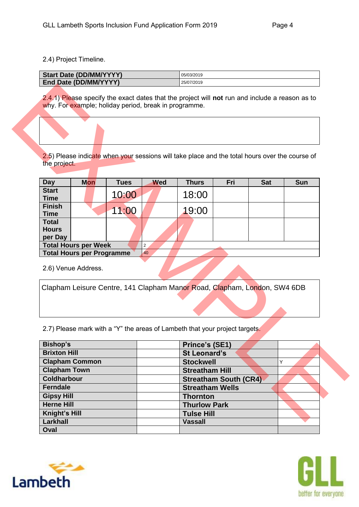2.4) Project Timeline.

| <b>Start Date (DD/MM/YYYY)</b> | 05/03/2019 |
|--------------------------------|------------|
| End Date (DD/MM/YYYY)          | 25/07/2019 |

| <b>Day</b>                              | <b>Mon</b>                       | <b>Tues</b> | <b>Wed</b> | <b>Thurs</b> | Fri | <b>Sat</b> | <b>Sun</b> |
|-----------------------------------------|----------------------------------|-------------|------------|--------------|-----|------------|------------|
| <b>Start</b><br><b>Time</b>             |                                  | 10:00       |            | 18:00        |     |            |            |
| <b>Finish</b><br><b>Time</b>            |                                  | 11:00       |            | 19:00        |     |            |            |
| <b>Total</b><br><b>Hours</b><br>per Day |                                  |             |            |              |     |            |            |
|                                         | <b>Total Hours per Week</b>      |             | 2          |              |     |            |            |
|                                         | <b>Total Hours per Programme</b> |             | 40         |              |     |            |            |

|                                                                                                                                                                                |                                                                 |             |                      | 2.5) Please indicate when your sessions will take place and the total hours over the course of |                              |            |            |
|--------------------------------------------------------------------------------------------------------------------------------------------------------------------------------|-----------------------------------------------------------------|-------------|----------------------|------------------------------------------------------------------------------------------------|------------------------------|------------|------------|
| the project.                                                                                                                                                                   |                                                                 |             |                      |                                                                                                |                              |            |            |
|                                                                                                                                                                                |                                                                 |             |                      |                                                                                                |                              |            |            |
| <b>Day</b>                                                                                                                                                                     | <b>Mon</b>                                                      | <b>Tues</b> | <b>Wed</b>           | <b>Thurs</b>                                                                                   | Fri                          | <b>Sat</b> | <b>Sun</b> |
| <b>Start</b>                                                                                                                                                                   |                                                                 | 10:00       |                      | 18:00                                                                                          |                              |            |            |
| <b>Time</b><br><b>Finish</b>                                                                                                                                                   |                                                                 |             |                      |                                                                                                |                              |            |            |
| <b>Time</b>                                                                                                                                                                    |                                                                 | 11:00       |                      | 19:00                                                                                          |                              |            |            |
| <b>Total</b>                                                                                                                                                                   |                                                                 |             |                      |                                                                                                |                              |            |            |
| <b>Hours</b>                                                                                                                                                                   |                                                                 |             |                      |                                                                                                |                              |            |            |
| per Day                                                                                                                                                                        |                                                                 |             |                      |                                                                                                |                              |            |            |
|                                                                                                                                                                                | <b>Total Hours per Week</b><br><b>Total Hours per Programme</b> |             | $\overline{2}$<br>40 |                                                                                                |                              |            |            |
|                                                                                                                                                                                |                                                                 |             |                      |                                                                                                |                              |            |            |
|                                                                                                                                                                                | 2.6) Venue Address.                                             |             |                      |                                                                                                |                              |            |            |
|                                                                                                                                                                                |                                                                 |             |                      |                                                                                                |                              |            |            |
|                                                                                                                                                                                |                                                                 |             |                      |                                                                                                |                              |            |            |
|                                                                                                                                                                                |                                                                 |             |                      | Clapham Leisure Centre, 141 Clapham Manor Road, Clapham, London, SW4 6DB                       |                              |            |            |
|                                                                                                                                                                                |                                                                 |             |                      |                                                                                                |                              |            |            |
|                                                                                                                                                                                |                                                                 |             |                      |                                                                                                |                              |            |            |
|                                                                                                                                                                                |                                                                 |             |                      |                                                                                                |                              |            |            |
|                                                                                                                                                                                |                                                                 |             |                      | 2.7) Please mark with a "Y" the areas of Lambeth that your project targets.                    |                              |            |            |
|                                                                                                                                                                                |                                                                 |             |                      | Prince's (SE1)                                                                                 |                              |            |            |
|                                                                                                                                                                                |                                                                 |             |                      | <b>St Leonard's</b>                                                                            |                              |            |            |
|                                                                                                                                                                                | <b>Clapham Common</b>                                           |             |                      | <b>Stockwell</b>                                                                               |                              |            | Y          |
|                                                                                                                                                                                |                                                                 |             |                      | <b>Streatham Hill</b>                                                                          |                              |            |            |
|                                                                                                                                                                                |                                                                 |             |                      |                                                                                                | <b>Streatham South (CR4)</b> |            |            |
|                                                                                                                                                                                |                                                                 |             |                      | <b>Streatham Wells</b>                                                                         |                              |            |            |
|                                                                                                                                                                                |                                                                 |             |                      | <b>Thornton</b>                                                                                |                              |            |            |
|                                                                                                                                                                                |                                                                 |             |                      | <b>Thurlow Park</b>                                                                            |                              |            |            |
|                                                                                                                                                                                |                                                                 |             |                      | <b>Tulse Hill</b>                                                                              |                              |            |            |
| <b>Bishop's</b><br><b>Brixton Hill</b><br><b>Clapham Town</b><br><b>Coldharbour</b><br>Ferndale<br><b>Gipsy Hill</b><br><b>Herne Hill</b><br>Knight's Hill<br>Larkhall<br>Oval |                                                                 |             |                      | <b>Vassall</b>                                                                                 |                              |            |            |



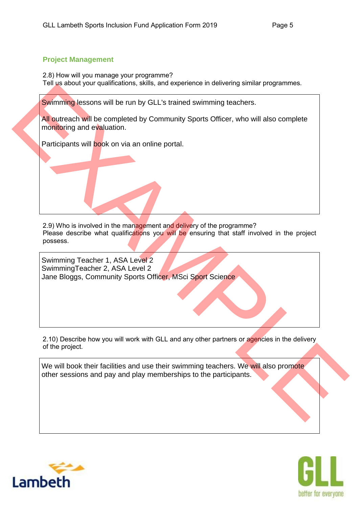#### **Project Management**

2.8) How will you manage your programme? Tell us about your qualifications, skills, and experience in delivering similar programmes.

Swimming lessons will be run by GLL's trained swimming teachers.

All outreach will be completed by Community Sports Officer, who will also complete monitoring and evaluation.

2.9) Who is involved in the management and delivery of the programme? Please describe what qualifications you will be ensuring that staff involved in the project possess. Swimming resons will be complete that the manufacture in distribution is a straight and the complete and the complete and the complete and the complete and the complete and the complete and the complete and the manufacture Participants will book on via an online portal.<br>
2.9) Who is involved in the management and deli<br>
Please describe what qualifications you will be<br>
possess.<br>
Swimming Teacher 1, ASA Level 2

SwimmingTeacher 2, ASA Level 2 Jane Bloggs, Community Sports Officer, MSci Sport Science

2.10) Describe how you will work with GLL and any other partners or agencies in the delivery of the project.

We will book their facilities and use their swimming teachers. We will also promote other sessions and pay and play memberships to the participants.



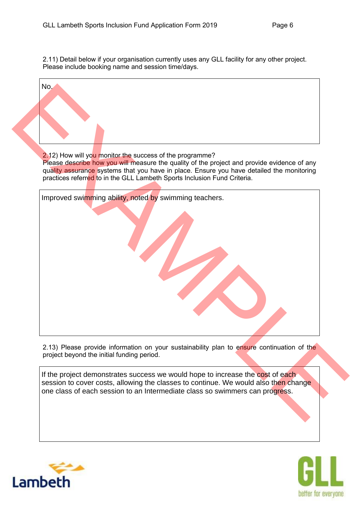2.11) Detail below if your organisation currently uses any GLL facility for any other project. Please include booking name and session time/days.

No.

| No. |                                                                                                                                                         |
|-----|---------------------------------------------------------------------------------------------------------------------------------------------------------|
|     |                                                                                                                                                         |
|     |                                                                                                                                                         |
|     |                                                                                                                                                         |
|     |                                                                                                                                                         |
|     |                                                                                                                                                         |
|     | 2.12) How will you monitor the success of the programme?<br>Please describe how you will measure the quality of the project and provide evidence of any |
|     | quality assurance systems that you have in place. Ensure you have detailed the monitoring                                                               |
|     | practices referred to in the GLL Lambeth Sports Inclusion Fund Criteria.                                                                                |
|     | Improved swimming ability, noted by swimming teachers.                                                                                                  |
|     |                                                                                                                                                         |
|     |                                                                                                                                                         |
|     |                                                                                                                                                         |
|     |                                                                                                                                                         |
|     |                                                                                                                                                         |
|     |                                                                                                                                                         |
|     |                                                                                                                                                         |
|     |                                                                                                                                                         |
|     |                                                                                                                                                         |
|     |                                                                                                                                                         |
|     |                                                                                                                                                         |
|     |                                                                                                                                                         |
|     | 2.13) Please provide information on your sustainability plan to ensure continuation of the                                                              |
|     | project beyond the initial funding period.                                                                                                              |
|     | If the project demonstrates success we would hope to increase the cost of each                                                                          |
|     | session to cover costs, allowing the classes to continue. We would also then change                                                                     |
|     | one class of each session to an Intermediate class so swimmers can progress.                                                                            |
|     |                                                                                                                                                         |
|     |                                                                                                                                                         |



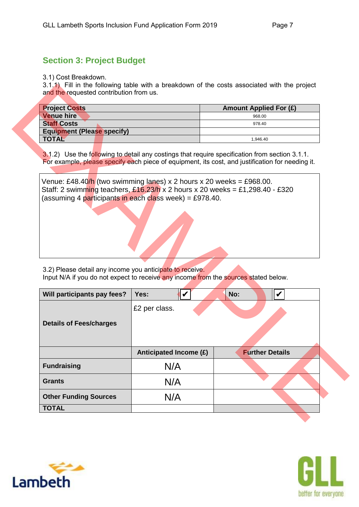# **Section 3: Project Budget**

3.1) Cost Breakdown.

3.1.1) Fill in the following table with a breakdown of the costs associated with the project and the requested contribution from us.

| <b>Project Costs</b>              | <b>Amount Applied For (£)</b> |
|-----------------------------------|-------------------------------|
| <b>Venue hire</b>                 | 968.00                        |
| <b>Staff Costs</b>                | 978.40                        |
| <b>Equipment (Please specify)</b> |                               |
| <b>TOTAL</b>                      | 1.946.40                      |

| <b>Project Costs</b>                                     |                                                                                                                                                                                                                        | <b>Amount Applied For (£)</b> |
|----------------------------------------------------------|------------------------------------------------------------------------------------------------------------------------------------------------------------------------------------------------------------------------|-------------------------------|
| <b>Venue hire</b>                                        |                                                                                                                                                                                                                        | 968.00                        |
| <b>Staff Costs</b>                                       |                                                                                                                                                                                                                        | 978.40                        |
| <b>Equipment (Please specify)</b>                        |                                                                                                                                                                                                                        |                               |
| <b>TOTAL</b>                                             |                                                                                                                                                                                                                        | 1,946.40                      |
|                                                          | Venue: £48.40/h (two swimming lanes) x 2 hours x 20 weeks = £968.00.<br>Staff: 2 swimming teachers, $£16.23/h \times 2$ hours x 20 weeks = £1,298.40 - £320<br>(assuming 4 participants in each class week) = £978.40. |                               |
|                                                          |                                                                                                                                                                                                                        |                               |
| 3.2) Please detail any income you anticipate to receive. | Input N/A if you do not expect to receive any income from the sources stated below.                                                                                                                                    |                               |
| Will participants pay fees?                              | $\boldsymbol{\mathcal{U}}$<br>Yes:                                                                                                                                                                                     | V<br>No:                      |
| <b>Details of Fees/charges</b>                           | £2 per class.                                                                                                                                                                                                          |                               |
|                                                          | Anticipated Income (£)                                                                                                                                                                                                 | <b>Further Details</b>        |
|                                                          | N/A                                                                                                                                                                                                                    |                               |
| <b>Fundraising</b><br><b>Grants</b>                      | N/A                                                                                                                                                                                                                    |                               |



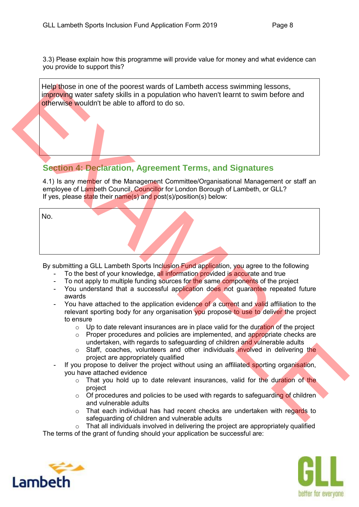Help those in one of the poorest wards of Lambeth access swimming lessons, improving water safety skills in a population who haven't learnt to swim before and otherwise wouldn't be able to afford to do so.

### **Section 4: Declaration, Agreement Terms, and Signatures**

|     | Help those in one of the poorest wards of Lambeth access swimming lessons,<br>improving water safety skills in a population who haven't learnt to swim before and<br>otherwise wouldn't be able to afford to do so.                         |
|-----|---------------------------------------------------------------------------------------------------------------------------------------------------------------------------------------------------------------------------------------------|
|     |                                                                                                                                                                                                                                             |
|     | <b>Section 4: Declaration, Agreement Terms, and Signatures</b>                                                                                                                                                                              |
|     | 4.1) Is any member of the Management Committee/Organisational Management or staff an<br>employee of Lambeth Council, Councillor for London Borough of Lambeth, or GLL?<br>If yes, please state their name(s) and post(s)/position(s) below: |
| No. |                                                                                                                                                                                                                                             |
|     |                                                                                                                                                                                                                                             |
|     |                                                                                                                                                                                                                                             |
|     |                                                                                                                                                                                                                                             |
|     | By submitting a GLL Lambeth Sports Inclusion Fund application, you agree to the following                                                                                                                                                   |
|     | To the best of your knowledge, all information provided is accurate and true                                                                                                                                                                |
|     | To not apply to multiple funding sources for the same components of the project                                                                                                                                                             |
|     | You understand that a successful application does not guarantee repeated future                                                                                                                                                             |
|     | awards                                                                                                                                                                                                                                      |
|     | You have attached to the application evidence of a current and valid affiliation to the<br>relevant sporting body for any organisation you propose to use to deliver the project                                                            |
|     | to ensure                                                                                                                                                                                                                                   |
|     | Up to date relevant insurances are in place valid for the duration of the project<br>$\circ$                                                                                                                                                |
|     | Proper procedures and policies are implemented, and appropriate checks are<br>$\circ$                                                                                                                                                       |
|     | undertaken, with regards to safeguarding of children and vulnerable adults                                                                                                                                                                  |
|     | Staff, coaches, volunteers and other individuals involved in delivering the<br>$\circ$                                                                                                                                                      |
|     |                                                                                                                                                                                                                                             |
|     | project are appropriately qualified                                                                                                                                                                                                         |
|     | If you propose to deliver the project without using an affiliated sporting organisation,                                                                                                                                                    |
|     | you have attached evidence                                                                                                                                                                                                                  |
|     | That you hold up to date relevant insurances, valid for the duration of the                                                                                                                                                                 |
|     | project                                                                                                                                                                                                                                     |
|     | Of procedures and policies to be used with regards to safeguarding of children<br>$\circ$                                                                                                                                                   |
|     | and vulnerable adults<br>That each individual has had recent checks are undertaken with regards to<br>$\circ$                                                                                                                               |

- To the best of your knowledge, all information provided is accurate and true
- To not apply to multiple funding sources for the same components of the project
- You understand that a successful application does not quarantee repeated future awards
- You have attached to the application evidence of a current and valid affiliation to the relevant sporting body for any organisation you propose to use to deliver the project to ensure
	- $\circ$  Up to date relevant insurances are in place valid for the duration of the project
	- $\circ$  Proper procedures and policies are implemented, and appropriate checks are undertaken, with regards to safeguarding of children and vulnerable adults
	- $\circ$  Staff, coaches, volunteers and other individuals involved in delivering the project are appropriately qualified
- If you propose to deliver the project without using an affiliated sporting organisation, you have attached evidence
	- $\circ$  That you hold up to date relevant insurances, valid for the duration of the project
	- o Of procedures and policies to be used with regards to safeguarding of children and vulnerable adults
	- $\circ$  That each individual has had recent checks are undertaken with regards to safeguarding of children and vulnerable adults

 $\circ$  That all individuals involved in delivering the project are appropriately qualified The terms of the grant of funding should your application be successful are: